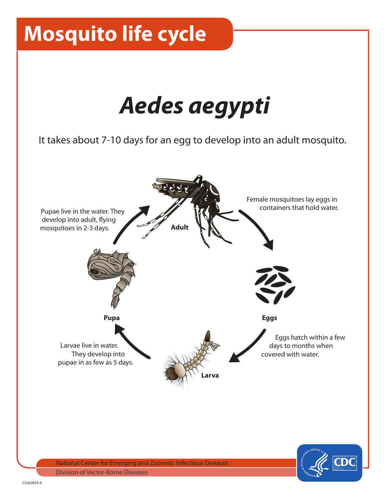# **Mosquito life cycle**